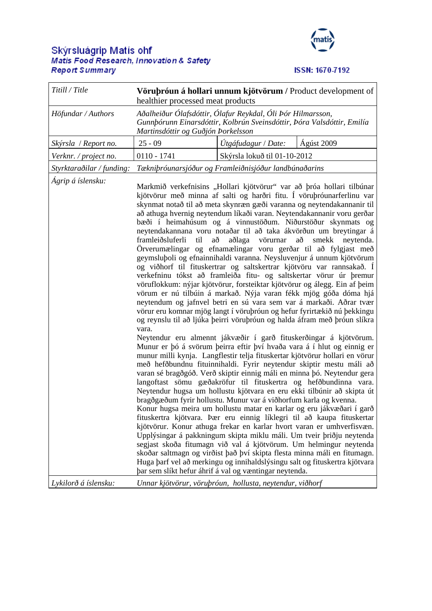## Skýrsluágrip Matís ohf<br>Matis Food Research, Innovation & Safety **Report Summary**



## **ISSN: 1670-7192**

| Titill / Title            | Vörubróun á hollari unnum kjötvörum / Product development of<br>healthier processed meat products                                                                                                                                                                                                                                                                                                                                                                                                                                                                                                                                                                                                                                                                                                                                                                                                                                                                                                                                                                                                                                                                                                                                                                                                                                                                                                                                                                                                                                                                                                                                                                                                                                                                                                                                                                                                                                                                                                                                                                                                                                       |                              |                                                                                                   |
|---------------------------|-----------------------------------------------------------------------------------------------------------------------------------------------------------------------------------------------------------------------------------------------------------------------------------------------------------------------------------------------------------------------------------------------------------------------------------------------------------------------------------------------------------------------------------------------------------------------------------------------------------------------------------------------------------------------------------------------------------------------------------------------------------------------------------------------------------------------------------------------------------------------------------------------------------------------------------------------------------------------------------------------------------------------------------------------------------------------------------------------------------------------------------------------------------------------------------------------------------------------------------------------------------------------------------------------------------------------------------------------------------------------------------------------------------------------------------------------------------------------------------------------------------------------------------------------------------------------------------------------------------------------------------------------------------------------------------------------------------------------------------------------------------------------------------------------------------------------------------------------------------------------------------------------------------------------------------------------------------------------------------------------------------------------------------------------------------------------------------------------------------------------------------------|------------------------------|---------------------------------------------------------------------------------------------------|
| Höfundar / Authors        | Aðalheiður Ólafsdóttir, Ólafur Reykdal, Óli Þór Hilmarsson,<br>Gunnþórunn Einarsdóttir, Kolbrún Sveinsdóttir, Þóra Valsdóttir, Emilía<br>Martinsdóttir og Guðjón Þorkelsson                                                                                                                                                                                                                                                                                                                                                                                                                                                                                                                                                                                                                                                                                                                                                                                                                                                                                                                                                                                                                                                                                                                                                                                                                                                                                                                                                                                                                                                                                                                                                                                                                                                                                                                                                                                                                                                                                                                                                             |                              |                                                                                                   |
| Skýrsla / Report no.      | $25 - 09$                                                                                                                                                                                                                                                                                                                                                                                                                                                                                                                                                                                                                                                                                                                                                                                                                                                                                                                                                                                                                                                                                                                                                                                                                                                                                                                                                                                                                                                                                                                                                                                                                                                                                                                                                                                                                                                                                                                                                                                                                                                                                                                               | Útgáfudagur / Date:          | Ágúst 2009                                                                                        |
| Verknr. / project no.     | $0110 - 1741$                                                                                                                                                                                                                                                                                                                                                                                                                                                                                                                                                                                                                                                                                                                                                                                                                                                                                                                                                                                                                                                                                                                                                                                                                                                                                                                                                                                                                                                                                                                                                                                                                                                                                                                                                                                                                                                                                                                                                                                                                                                                                                                           | Skýrsla lokuð til 01-10-2012 |                                                                                                   |
| Styrktaraðilar / funding: | Tækniþróunarsjóður og Framleiðnisjóður landbúnaðarins                                                                                                                                                                                                                                                                                                                                                                                                                                                                                                                                                                                                                                                                                                                                                                                                                                                                                                                                                                                                                                                                                                                                                                                                                                                                                                                                                                                                                                                                                                                                                                                                                                                                                                                                                                                                                                                                                                                                                                                                                                                                                   |                              |                                                                                                   |
| Ágrip á íslensku:         | Markmið verkefnisins "Hollari kjötvörur" var að þróa hollari tilbúnar<br>kjötvörur með minna af salti og harðri fitu. Í vöruþróunarferlinu var<br>skynmat notað til að meta skynræn gæði varanna og neytendakannanir til<br>að athuga hvernig neytendum líkaði varan. Neytendakannanir voru gerðar<br>bæði í heimahúsum og á vinnustöðum. Niðurstöður skynmats og<br>neytendakannana voru notaðar til að taka ákvörðun um breytingar á<br>til<br>framleiðsluferli<br>að<br>Örverumælingar og efnamælingar voru gerðar til að fylgjast með<br>geymsluþoli og efnainnihaldi varanna. Neysluvenjur á unnum kjötvörum<br>og viðhorf til fituskertrar og saltskertrar kjötvöru var rannsakað. Í<br>verkefninu tókst að framleiða fitu- og saltskertar vörur úr þremur<br>vöruflokkum: nýjar kjötvörur, forsteiktar kjötvörur og álegg. Ein af þeim<br>vörum er nú tilbúin á markað. Nýja varan fékk mjög góða dóma hjá<br>neytendum og jafnvel betri en sú vara sem var á markaði. Aðrar tvær<br>vörur eru komnar mjög langt í vöruþróun og hefur fyrirtækið nú þekkingu<br>og reynslu til að ljúka þeirri vöruþróun og halda áfram með þróun slíkra<br>vara.<br>Neytendur eru almennt jákvæðir í garð fituskerðingar á kjötvörum.<br>Munur er þó á svörum þeirra eftir því hvaða vara á í hlut og einnig er<br>munur milli kynja. Langflestir telja fituskertar kjötvörur hollari en vörur<br>með hefðbundnu fituinnihaldi. Fyrir neytendur skiptir mestu máli að<br>varan sé bragðgóð. Verð skiptir einnig máli en minna þó. Neytendur gera<br>langoftast sömu gæðakröfur til fituskertra og hefðbundinna vara.<br>Neytendur hugsa um hollustu kjötvara en eru ekki tilbúnir að skipta út<br>bragðgæðum fyrir hollustu. Munur var á viðhorfum karla og kvenna.<br>fituskertra kjötvara. Þær eru einnig líklegri til að kaupa fituskertar<br>kjötvörur. Konur athuga frekar en karlar hvort varan er umhverfisvæn.<br>Upplýsingar á pakkningum skipta miklu máli. Um tveir þriðju neytenda<br>segjast skoða fitumagn við val á kjötvörum. Um helmingur neytenda<br>skoðar saltmagn og virðist það því skipta flesta minna máli en fitumagn. | aðlaga vörurnar              | að<br>smekk<br>neytenda.<br>Konur hugsa meira um hollustu matar en karlar og eru jákvæðari í garð |
| Lykilorð á íslensku:      | Huga þarf vel að merkingu og innihaldslýsingu salt og fituskertra kjötvara<br>þar sem slíkt hefur áhrif á val og væntingar neytenda.<br>Unnar kjötvörur, vöruþróun, hollusta, neytendur, viðhorf                                                                                                                                                                                                                                                                                                                                                                                                                                                                                                                                                                                                                                                                                                                                                                                                                                                                                                                                                                                                                                                                                                                                                                                                                                                                                                                                                                                                                                                                                                                                                                                                                                                                                                                                                                                                                                                                                                                                        |                              |                                                                                                   |